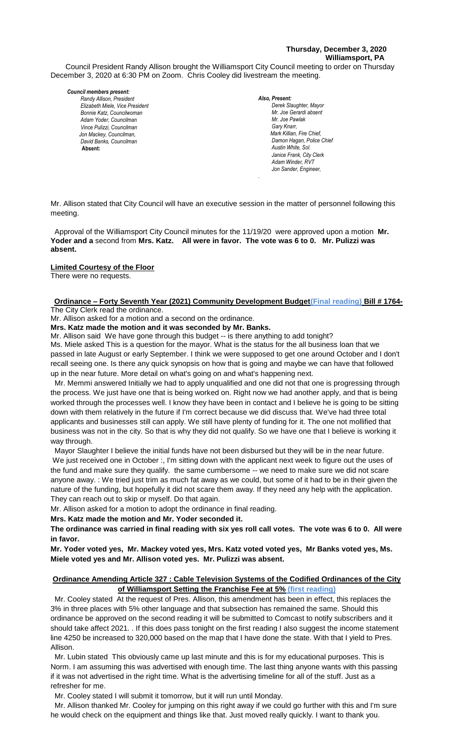## **Thursday, December 3, 2020 Williamsport, PA**

Council President Randy Allison brought the Williamsport City Council meeting to order on Thursday December 3, 2020 at 6:30 PM on Zoom. Chris Cooley did livestream the meeting.

#### *Council members present:*

*Randy Allison, President , President Elizabeth Miele, Vice President Bill Hall, Councilman Bonnie Katz, Councilwoman Adam Yoder, Councilman Vince Pulizzi, Councilman Jon Mackey, Councilman, David Banks, Councilman*  **Absent:** 

*Also, Present: Derek Slaughter, Mayor Mr. William Nichols, Jr. Mr. Joe Gerardi absent Mr. Joe Pawlak Gary Knarr, Mark Killian, Fire Chief,* **Damon Hagan, Police Chief** *Austin White, Sol. Janice Frank, City Clerk* Adam Winder, RVT *Jon Sander, Engineer,* 

Mr. Allison stated that City Council will have an executive session in the matter of personnel following this meeting.

*.*

Approval of the Williamsport City Council minutes for the 11/19/20 were approved upon a motion **Mr. Yoder and a** second from **Mrs. Katz. All were in favor. The vote was 6 to 0. Mr. Pulizzi was absent.**

### **Limited Courtesy of the Floor**

There were no requests.

# **Ordinance – Forty Seventh Year (2021) Community Development Budget(Final reading) Bill # 1764-** *Todd Heckman, Fire Chief ,*  The City Clerk read the ordinance.

Mr. Allison asked for a motion and a second on the ordinance.

**Mrs. Katz made the motion and it was seconded by Mr. Banks.**

Mr. Allison said We have gone through this budget -- is there anything to add tonight?

Ms. Miele asked This is a question for the mayor. What is the status for the all business loan that we passed in late August or early September. I think we were supposed to get one around October and I don't *Members of News Media* recall seeing one. Is there any quick synopsis on how that is going and maybe we can have that followed up in the near future. More detail on what's going on and what's happening next.

 Mr. Memmi answered Initially we had to apply unqualified and one did not that one is progressing through the process. We just have one that is being worked on. Right now we had another apply, and that is being worked through the processes well. I know they have been in contact and I believe he is going to be sitting down with them relatively in the future if I'm correct because we did discuss that. We've had three total applicants and businesses still can apply. We still have plenty of funding for it. The one not mollified that business was not in the city. So that is why they did not qualify. So we have one that I believe is working it way through.

 Mayor Slaughter I believe the initial funds have not been disbursed but they will be in the near future. We just received one in October :, I'm sitting down with the applicant next week to figure out the uses of the fund and make sure they qualify. the same cumbersome -- we need to make sure we did not scare anyone away. : We tried just trim as much fat away as we could, but some of it had to be in their given the nature of the funding, but hopefully it did not scare them away. If they need any help with the application. They can reach out to skip or myself. Do that again.

Mr. Allison asked for a motion to adopt the ordinance in final reading.

**Mrs. Katz made the motion and Mr. Yoder seconded it.** 

**The ordinance was carried in final reading with six yes roll call votes. The vote was 6 to 0. All were in favor.**

**Mr. Yoder voted yes, Mr. Mackey voted yes, Mrs. Katz voted voted yes, Mr Banks voted yes, Ms. Miele voted yes and Mr. Allison voted yes. Mr. Pulizzi was absent.**

### **Ordinance Amending Article 327 : Cable Television Systems of the Codified Ordinances of the City of Williamsport Setting the Franchise Fee at 5% (first reading)**

 Mr. Cooley stated At the request of Pres. Allison, this amendment has been in effect, this replaces the 3% in three places with 5% other language and that subsection has remained the same. Should this ordinance be approved on the second reading it will be submitted to Comcast to notify subscribers and it should take affect 2021. . If this does pass tonight on the first reading I also suggest the income statement line 4250 be increased to 320,000 based on the map that I have done the state. With that I yield to Pres. Allison.

 Mr. Lubin stated This obviously came up last minute and this is for my educational purposes. This is Norm. I am assuming this was advertised with enough time. The last thing anyone wants with this passing if it was not advertised in the right time. What is the advertising timeline for all of the stuff. Just as a refresher for me.

Mr. Cooley stated I will submit it tomorrow, but it will run until Monday.

 Mr. Allison thanked Mr. Cooley for jumping on this right away if we could go further with this and I'm sure he would check on the equipment and things like that. Just moved really quickly. I want to thank you.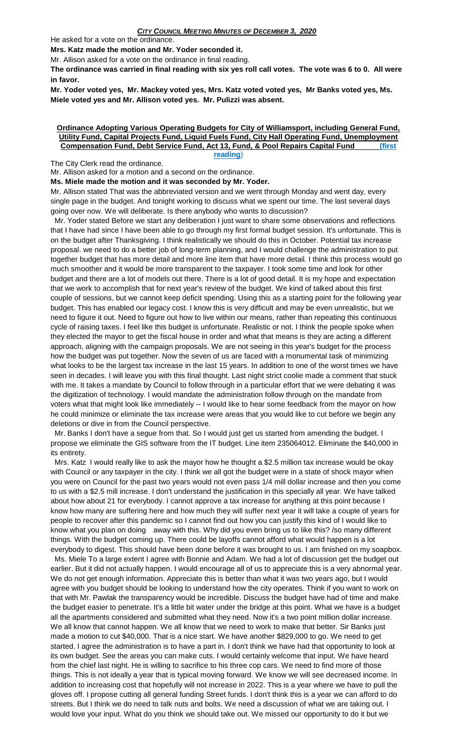He asked for a vote on the ordinance.

**Mrs. Katz made the motion and Mr. Yoder seconded it.** 

Mr. Allison asked for a vote on the ordinance in final reading.

**The ordinance was carried in final reading with six yes roll call votes. The vote was 6 to 0. All were in favor.**

**Mr. Yoder voted yes, Mr. Mackey voted yes, Mrs. Katz voted voted yes, Mr Banks voted yes, Ms. Miele voted yes and Mr. Allison voted yes. Mr. Pulizzi was absent.**

#### **Ordinance Adopting Various Operating Budgets for City of Williamsport, including General Fund, Utility Fund, Capital Projects Fund, Liquid Fuels Fund, City Hall Operating Fund, Unemployment Compensation Fund, Debt Service Fund, Act 13, Fund, & Pool Repairs Capital Fund (first reading**)

The City Clerk read the ordinance.

Mr. Allison asked for a motion and a second on the ordinance.

**Ms. Miele made the motion and it was seconded by Mr. Yoder.**

Mr. Allison stated That was the abbreviated version and we went through Monday and went day, every single page in the budget. And tonight working to discuss what we spent our time. The last several days going over now. We will deliberate. Is there anybody who wants to discussion?

 Mr. Yoder stated Before we start any deliberation I just want to share some observations and reflections that I have had since I have been able to go through my first formal budget session. It's unfortunate. This is on the budget after Thanksgiving. I think realistically we should do this in October. Potential tax increase proposal. we need to do a better job of long-term planning, and I would challenge the administration to put together budget that has more detail and more line item that have more detail. I think this process would go much smoother and it would be more transparent to the taxpayer. I took some time and look for other budget and there are a lot of models out there. There is a lot of good detail. It is my hope and expectation that we work to accomplish that for next year's review of the budget. We kind of talked about this first couple of sessions, but we cannot keep deficit spending. Using this as a starting point for the following year budget. This has enabled our legacy cost. I know this is very difficult and may be even unrealistic, but we need to figure it out. Need to figure out how to live within our means, rather than repeating this continuous cycle of raising taxes. I feel like this budget is unfortunate. Realistic or not. I think the people spoke when they elected the mayor to get the fiscal house in order and what that means is they are acting a different approach, aligning with the campaign proposals. We are not seeing in this year's budget for the process how the budget was put together. Now the seven of us are faced with a monumental task of minimizing what looks to be the largest tax increase in the last 15 years. In addition to one of the worst times we have seen in decades. I will leave you with this final thought. Last night strict coolie made a comment that stuck with me. It takes a mandate by Council to follow through in a particular effort that we were debating it was the digitization of technology. I would mandate the administration follow through on the mandate from voters what that might look like immediately -- I would like to hear some feedback from the mayor on how he could minimize or eliminate the tax increase were areas that you would like to cut before we begin any deletions or dive in from the Council perspective.

 Mr. Banks I don't have a segue from that. So I would just get us started from amending the budget. I propose we eliminate the GIS software from the IT budget. Line item 235064012. Eliminate the \$40,000 in its entirety.

 Mrs. Katz I would really like to ask the mayor how he thought a \$2.5 million tax increase would be okay with Council or any taxpayer in the city. I think we all got the budget were in a state of shock mayor when you were on Council for the past two years would not even pass 1/4 mill dollar increase and then you come to us with a \$2.5 mill increase. I don't understand the justification in this specially all year. We have talked about how about 21 for everybody. I cannot approve a tax increase for anything at this point because I know how many are suffering here and how much they will suffer next year it will take a couple of years for people to recover after this pandemic so I cannot find out how you can justify this kind of I would like to know what you plan on doing away with this. Why did you even bring us to like this? /so many different things. With the budget coming up. There could be layoffs cannot afford what would happen is a lot everybody to digest. This should have been done before it was brought to us. I am finished on my soapbox.

 Ms. Miele To a large extent I agree with Bonnie and Adam. We had a lot of discussion get the budget out earlier. But it did not actually happen. I would encourage all of us to appreciate this is a very abnormal year. We do not get enough information. Appreciate this is better than what it was two years ago, but I would agree with you budget should be looking to understand how the city operates. Think if you want to work on that with Mr. Pawlak the transparency would be incredible. Discuss the budget have had of time and make the budget easier to penetrate. It's a little bit water under the bridge at this point. What we have is a budget all the apartments considered and submitted what they need. Now it's a two point million dollar increase. We all know that cannot happen. We all know that we need to work to make that better. Sir Banks just made a motion to cut \$40,000. That is a nice start. We have another \$829,000 to go. We need to get started. I agree the administration is to have a part in. I don't think we have had that opportunity to look at its own budget. See the areas you can make cuts. I would certainly welcome that input. We have heard from the chief last night. He is willing to sacrifice to his three cop cars. We need to find more of those things. This is not ideally a year that is typical moving forward. We know we will see decreased income. In addition to increasing cost that hopefully will not increase in 2022. This is a year where we have to pull the gloves off. I propose cutting all general funding Street funds. I don't think this is a year we can afford to do streets. But I think we do need to talk nuts and bolts. We need a discussion of what we are taking out. I would love your input. What do you think we should take out. We missed our opportunity to do it but we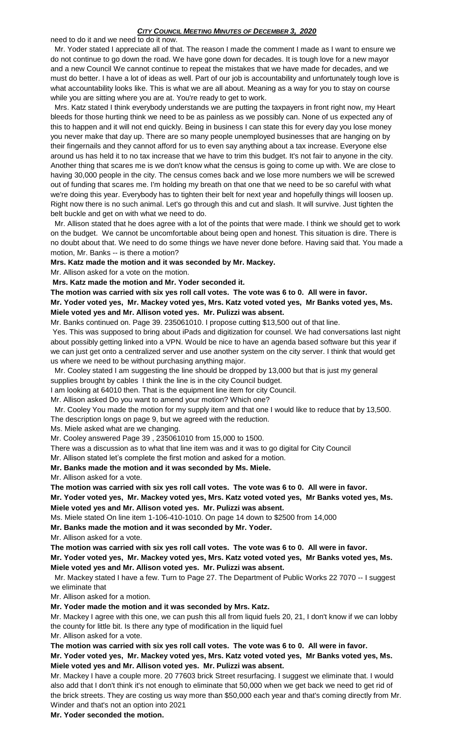### *CITY COUNCIL MEETING MINUTES OF DECEMBER 3, 2020*

need to do it and we need to do it now.

 Mr. Yoder stated I appreciate all of that. The reason I made the comment I made as I want to ensure we do not continue to go down the road. We have gone down for decades. It is tough love for a new mayor and a new Council We cannot continue to repeat the mistakes that we have made for decades, and we must do better. I have a lot of ideas as well. Part of our job is accountability and unfortunately tough love is what accountability looks like. This is what we are all about. Meaning as a way for you to stay on course while you are sitting where you are at. You're ready to get to work.

 Mrs. Katz stated I think everybody understands we are putting the taxpayers in front right now, my Heart bleeds for those hurting think we need to be as painless as we possibly can. None of us expected any of this to happen and it will not end quickly. Being in business I can state this for every day you lose money you never make that day up. There are so many people unemployed businesses that are hanging on by their fingernails and they cannot afford for us to even say anything about a tax increase. Everyone else around us has held it to no tax increase that we have to trim this budget. It's not fair to anyone in the city. Another thing that scares me is we don't know what the census is going to come up with. We are close to having 30,000 people in the city. The census comes back and we lose more numbers we will be screwed out of funding that scares me. I'm holding my breath on that one that we need to be so careful with what we're doing this year. Everybody has to tighten their belt for next year and hopefully things will loosen up. Right now there is no such animal. Let's go through this and cut and slash. It will survive. Just tighten the belt buckle and get on with what we need to do.

 Mr. Allison stated that he does agree with a lot of the points that were made. I think we should get to work on the budget. We cannot be uncomfortable about being open and honest. This situation is dire. There is no doubt about that. We need to do some things we have never done before. Having said that. You made a motion, Mr. Banks -- is there a motion?

### **Mrs. Katz made the motion and it was seconded by Mr. Mackey.**

Mr. Allison asked for a vote on the motion.

**Mrs. Katz made the motion and Mr. Yoder seconded it.** 

**The motion was carried with six yes roll call votes. The vote was 6 to 0. All were in favor. Mr. Yoder voted yes, Mr. Mackey voted yes, Mrs. Katz voted voted yes, Mr Banks voted yes, Ms. Miele voted yes and Mr. Allison voted yes. Mr. Pulizzi was absent.**

Mr. Banks continued on. Page 39. 235061010. I propose cutting \$13,500 out of that line.

Yes. This was supposed to bring about iPads and digitization for counsel. We had conversations last night about possibly getting linked into a VPN. Would be nice to have an agenda based software but this year if we can just get onto a centralized server and use another system on the city server. I think that would get us where we need to be without purchasing anything major.

 Mr. Cooley stated I am suggesting the line should be dropped by 13,000 but that is just my general supplies brought by cables I think the line is in the city Council budget.

I am looking at 64010 then. That is the equipment line item for city Council.

Mr. Allison asked Do you want to amend your motion? Which one?

 Mr. Cooley You made the motion for my supply item and that one I would like to reduce that by 13,500. The description longs on page 9, but we agreed with the reduction.

Ms. Miele asked what are we changing.

Mr. Cooley answered Page 39 , 235061010 from 15,000 to 1500.

There was a discussion as to what that line item was and it was to go digital for City Council

Mr. Allison stated let's complete the first motion and asked for a motion.

### **Mr. Banks made the motion and it was seconded by Ms. Miele.**

Mr. Allison asked for a vote.

**The motion was carried with six yes roll call votes. The vote was 6 to 0. All were in favor. Mr. Yoder voted yes, Mr. Mackey voted yes, Mrs. Katz voted voted yes, Mr Banks voted yes, Ms. Miele voted yes and Mr. Allison voted yes. Mr. Pulizzi was absent.**

Ms. Miele stated On line item 1-106-410-1010. On page 14 down to \$2500 from 14,000

**Mr. Banks made the motion and it was seconded by Mr. Yoder.**

Mr. Allison asked for a vote.

**The motion was carried with six yes roll call votes. The vote was 6 to 0. All were in favor.**

**Mr. Yoder voted yes, Mr. Mackey voted yes, Mrs. Katz voted voted yes, Mr Banks voted yes, Ms. Miele voted yes and Mr. Allison voted yes. Mr. Pulizzi was absent.**

 Mr. Mackey stated I have a few. Turn to Page 27. The Department of Public Works 22 7070 -- I suggest we eliminate that

Mr. Allison asked for a motion.

**Mr. Yoder made the motion and it was seconded by Mrs. Katz.**

Mr. Mackey I agree with this one, we can push this all from liquid fuels 20, 21, I don't know if we can lobby the county for little bit. Is there any type of modification in the liquid fuel

Mr. Allison asked for a vote.

**The motion was carried with six yes roll call votes. The vote was 6 to 0. All were in favor.**

**Mr. Yoder voted yes, Mr. Mackey voted yes, Mrs. Katz voted voted yes, Mr Banks voted yes, Ms. Miele voted yes and Mr. Allison voted yes. Mr. Pulizzi was absent.**

Mr. Mackey I have a couple more. 20 77603 brick Street resurfacing. I suggest we eliminate that. I would also add that I don't think it's not enough to eliminate that 50,000 when we get back we need to get rid of the brick streets. They are costing us way more than \$50,000 each year and that's coming directly from Mr. Winder and that's not an option into 2021

**Mr. Yoder seconded the motion.**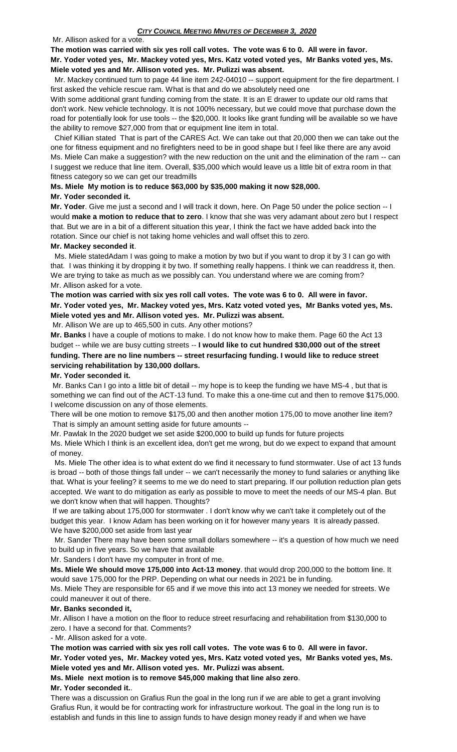Mr. Allison asked for a vote.

### **The motion was carried with six yes roll call votes. The vote was 6 to 0. All were in favor. Mr. Yoder voted yes, Mr. Mackey voted yes, Mrs. Katz voted voted yes, Mr Banks voted yes, Ms. Miele voted yes and Mr. Allison voted yes. Mr. Pulizzi was absent.**

 Mr. Mackey continued turn to page 44 line item 242-04010 -- support equipment for the fire department. I first asked the vehicle rescue ram. What is that and do we absolutely need one

With some additional grant funding coming from the state. It is an E drawer to update our old rams that don't work. New vehicle technology. It is not 100% necessary, but we could move that purchase down the road for potentially look for use tools -- the \$20,000. It looks like grant funding will be available so we have the ability to remove \$27,000 from that or equipment line item in total.

 Chief Killian stated That is part of the CARES Act. We can take out that 20,000 then we can take out the one for fitness equipment and no firefighters need to be in good shape but I feel like there are any avoid Ms. Miele Can make a suggestion? with the new reduction on the unit and the elimination of the ram -- can I suggest we reduce that line item. Overall, \$35,000 which would leave us a little bit of extra room in that fitness category so we can get our treadmills

# **Ms. Miele My motion is to reduce \$63,000 by \$35,000 making it now \$28,000.**

### **Mr. Yoder seconded it.**

**Mr. Yoder**. Give me just a second and I will track it down, here. On Page 50 under the police section -- I would **make a motion to reduce that to zero**. I know that she was very adamant about zero but I respect that. But we are in a bit of a different situation this year, I think the fact we have added back into the rotation. Since our chief is not taking home vehicles and wall offset this to zero.

# **Mr. Mackey seconded it**.

 Ms. Miele statedAdam I was going to make a motion by two but if you want to drop it by 3 I can go with that. I was thinking it by dropping it by two. If something really happens. I think we can readdress it, then. We are trying to take as much as we possibly can. You understand where we are coming from? Mr. Allison asked for a vote.

# **The motion was carried with six yes roll call votes. The vote was 6 to 0. All were in favor. Mr. Yoder voted yes, Mr. Mackey voted yes, Mrs. Katz voted voted yes, Mr Banks voted yes, Ms. Miele voted yes and Mr. Allison voted yes. Mr. Pulizzi was absent.**

Mr. Allison We are up to 465,500 in cuts. Any other motions?

**Mr. Banks** I have a couple of motions to make. I do not know how to make them. Page 60 the Act 13 budget -- while we are busy cutting streets -- **I would like to cut hundred \$30,000 out of the street funding. There are no line numbers -- street resurfacing funding. I would like to reduce street servicing rehabilitation by 130,000 dollars.** 

# **Mr. Yoder seconded it.**

Mr. Banks Can I go into a little bit of detail -- my hope is to keep the funding we have MS-4 , but that is something we can find out of the ACT-13 fund. To make this a one-time cut and then to remove \$175,000. I welcome discussion on any of those elements.

There will be one motion to remove \$175,00 and then another motion 175,00 to move another line item? That is simply an amount setting aside for future amounts --

Mr. Pawlak In the 2020 budget we set aside \$200,000 to build up funds for future projects

Ms. Miele Which I think is an excellent idea, don't get me wrong, but do we expect to expand that amount of money.

 Ms. Miele The other idea is to what extent do we find it necessary to fund stormwater. Use of act 13 funds is broad -- both of those things fall under -- we can't necessarily the money to fund salaries or anything like that. What is your feeling? it seems to me we do need to start preparing. If our pollution reduction plan gets accepted. We want to do mitigation as early as possible to move to meet the needs of our MS-4 plan. But we don't know when that will happen. Thoughts?

If we are talking about 175,000 for stormwater . I don't know why we can't take it completely out of the budget this year. I know Adam has been working on it for however many years It is already passed. We have \$200,000 set aside from last year

 Mr. Sander There may have been some small dollars somewhere -- it's a question of how much we need to build up in five years. So we have that available

Mr. Sanders I don't have my computer in front of me.

**Ms. Miele We should move 175,000 into Act-13 money**. that would drop 200,000 to the bottom line. It would save 175,000 for the PRP. Depending on what our needs in 2021 be in funding.

Ms. Miele They are responsible for 65 and if we move this into act 13 money we needed for streets. We could maneuver it out of there.

# **Mr. Banks seconded it,**

Mr. Allison I have a motion on the floor to reduce street resurfacing and rehabilitation from \$130,000 to zero. I have a second for that. Comments?

- Mr. Allison asked for a vote.

**The motion was carried with six yes roll call votes. The vote was 6 to 0. All were in favor. Mr. Yoder voted yes, Mr. Mackey voted yes, Mrs. Katz voted voted yes, Mr Banks voted yes, Ms. Miele voted yes and Mr. Allison voted yes. Mr. Pulizzi was absent.**

**Ms. Miele next motion is to remove \$45,000 making that line also zero**.

# **Mr. Yoder seconded it.**.

There was a discussion on Grafius Run the goal in the long run if we are able to get a grant involving Grafius Run, it would be for contracting work for infrastructure workout. The goal in the long run is to establish and funds in this line to assign funds to have design money ready if and when we have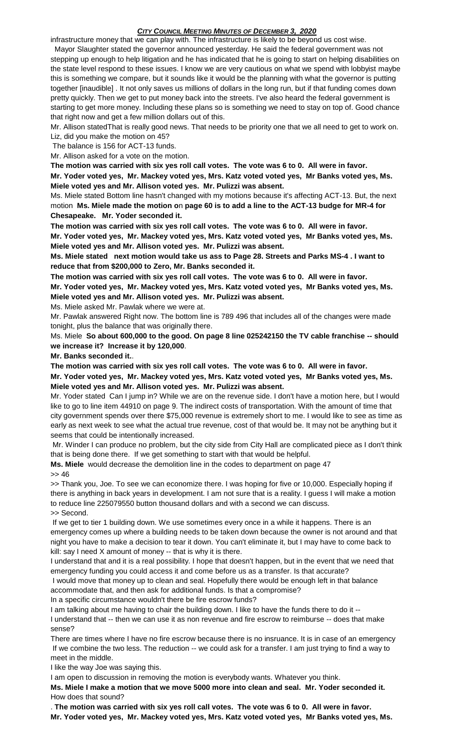## *CITY COUNCIL MEETING MINUTES OF DECEMBER 3, 2020*

infrastructure money that we can play with. The infrastructure is likely to be beyond us cost wise.

 Mayor Slaughter stated the governor announced yesterday. He said the federal government was not stepping up enough to help litigation and he has indicated that he is going to start on helping disabilities on the state level respond to these issues. I know we are very cautious on what we spend with lobbyist maybe this is something we compare, but it sounds like it would be the planning with what the governor is putting together [inaudible] . It not only saves us millions of dollars in the long run, but if that funding comes down pretty quickly. Then we get to put money back into the streets. I've also heard the federal government is starting to get more money. Including these plans so is something we need to stay on top of. Good chance that right now and get a few million dollars out of this.

Mr. Allison statedThat is really good news. That needs to be priority one that we all need to get to work on. Liz, did you make the motion on 45?

The balance is 156 for ACT-13 funds.

Mr. Allison asked for a vote on the motion.

**The motion was carried with six yes roll call votes. The vote was 6 to 0. All were in favor.**

**Mr. Yoder voted yes, Mr. Mackey voted yes, Mrs. Katz voted voted yes, Mr Banks voted yes, Ms. Miele voted yes and Mr. Allison voted yes. Mr. Pulizzi was absent.**

Ms. Miele stated Bottom line hasn't changed with my motions because it's affecting ACT-13. But, the next motion **Ms. Miele made the motion o**n **page 60 is to add a line to the ACT-13 budge for MR-4 for Chesapeake. Mr. Yoder seconded it.**

**The motion was carried with six yes roll call votes. The vote was 6 to 0. All were in favor. Mr. Yoder voted yes, Mr. Mackey voted yes, Mrs. Katz voted voted yes, Mr Banks voted yes, Ms. Miele voted yes and Mr. Allison voted yes. Mr. Pulizzi was absent.**

**Ms. Miele stated next motion would take us ass to Page 28. Streets and Parks MS-4 . I want to reduce that from \$200,000 to Zero, Mr. Banks seconded it.**

**The motion was carried with six yes roll call votes. The vote was 6 to 0. All were in favor. Mr. Yoder voted yes, Mr. Mackey voted yes, Mrs. Katz voted voted yes, Mr Banks voted yes, Ms. Miele voted yes and Mr. Allison voted yes. Mr. Pulizzi was absent.**

Ms. Miele asked Mr. Pawlak where we were at.

Mr. Pawlak answered Right now. The bottom line is 789 496 that includes all of the changes were made tonight, plus the balance that was originally there.

Ms. Miele **So about 600,000 to the good. On page 8 line 025242150 the TV cable franchise -- should we increase it? Increase it by 120,000**.

**Mr. Banks seconded it.**.

**The motion was carried with six yes roll call votes. The vote was 6 to 0. All were in favor.**

**Mr. Yoder voted yes, Mr. Mackey voted yes, Mrs. Katz voted voted yes, Mr Banks voted yes, Ms. Miele voted yes and Mr. Allison voted yes. Mr. Pulizzi was absent.**

Mr. Yoder stated Can I jump in? While we are on the revenue side. I don't have a motion here, but I would like to go to line item 44910 on page 9. The indirect costs of transportation. With the amount of time that city government spends over there \$75,000 revenue is extremely short to me. I would like to see as time as early as next week to see what the actual true revenue, cost of that would be. It may not be anything but it seems that could be intentionally increased.

Mr. Winder I can produce no problem, but the city side from City Hall are complicated piece as I don't think that is being done there. If we get something to start with that would be helpful.

**Ms. Miele** would decrease the demolition line in the codes to department on page 47

>> 46

>> Thank you, Joe. To see we can economize there. I was hoping for five or 10,000. Especially hoping if there is anything in back years in development. I am not sure that is a reality. I guess I will make a motion to reduce line 225079550 button thousand dollars and with a second we can discuss. >> Second.

If we get to tier 1 building down. We use sometimes every once in a while it happens. There is an emergency comes up where a building needs to be taken down because the owner is not around and that night you have to make a decision to tear it down. You can't eliminate it, but I may have to come back to kill: say I need X amount of money -- that is why it is there.

I understand that and it is a real possibility. I hope that doesn't happen, but in the event that we need that emergency funding you could access it and come before us as a transfer. Is that accurate?

I would move that money up to clean and seal. Hopefully there would be enough left in that balance accommodate that, and then ask for additional funds. Is that a compromise?

In a specific circumstance wouldn't there be fire escrow funds?

I am talking about me having to chair the building down. I like to have the funds there to do it -- I understand that -- then we can use it as non revenue and fire escrow to reimburse -- does that make sense?

There are times where I have no fire escrow because there is no insruance. It is in case of an emergency If we combine the two less. The reduction -- we could ask for a transfer. I am just trying to find a way to meet in the middle.

I like the way Joe was saying this.

I am open to discussion in removing the motion is everybody wants. Whatever you think.

**Ms. Miele I make a motion that we move 5000 more into clean and seal. Mr. Yoder seconded it.**  How does that sound?

. **The motion was carried with six yes roll call votes. The vote was 6 to 0. All were in favor. Mr. Yoder voted yes, Mr. Mackey voted yes, Mrs. Katz voted voted yes, Mr Banks voted yes, Ms.**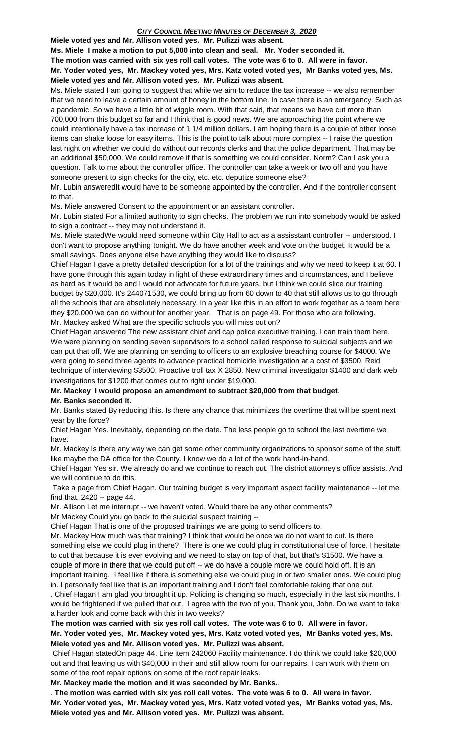**Ms. Miele I make a motion to put 5,000 into clean and seal. Mr. Yoder seconded it.**

**The motion was carried with six yes roll call votes. The vote was 6 to 0. All were in favor.**

**Mr. Yoder voted yes, Mr. Mackey voted yes, Mrs. Katz voted voted yes, Mr Banks voted yes, Ms. Miele voted yes and Mr. Allison voted yes. Mr. Pulizzi was absent.**

Ms. Miele stated I am going to suggest that while we aim to reduce the tax increase -- we also remember that we need to leave a certain amount of honey in the bottom line. In case there is an emergency. Such as a pandemic. So we have a little bit of wiggle room. With that said, that means we have cut more than 700,000 from this budget so far and I think that is good news. We are approaching the point where we could intentionally have a tax increase of 1 1/4 million dollars. I am hoping there is a couple of other loose items can shake loose for easy items. This is the point to talk about more complex -- I raise the question last night on whether we could do without our records clerks and that the police department. That may be an additional \$50,000. We could remove if that is something we could consider. Norm? Can I ask you a question. Talk to me about the controller office. The controller can take a week or two off and you have someone present to sign checks for the city, etc. etc. deputize someone else?

Mr. Lubin answeredIt would have to be someone appointed by the controller. And if the controller consent to that.

Ms. Miele answered Consent to the appointment or an assistant controller.

Mr. Lubin stated For a limited authority to sign checks. The problem we run into somebody would be asked to sign a contract -- they may not understand it.

Ms. Miele statedWe would need someone within City Hall to act as a assisstant controller -- understood. I don't want to propose anything tonight. We do have another week and vote on the budget. It would be a small savings. Does anyone else have anything they would like to discuss?

Chief Hagan I gave a pretty detailed description for a lot of the trainings and why we need to keep it at 60. I have gone through this again today in light of these extraordinary times and circumstances, and I believe as hard as it would be and I would not advocate for future years, but I think we could slice our training budget by \$20,000. It's 244071530, we could bring up from 60 down to 40 that still allows us to go through all the schools that are absolutely necessary. In a year like this in an effort to work together as a team here they \$20,000 we can do without for another year. That is on page 49. For those who are following. Mr. Mackey asked What are the specific schools you will miss out on?

Chief Hagan answered The new assistant chief and cap police executive training. I can train them here. We were planning on sending seven supervisors to a school called response to suicidal subjects and we can put that off. We are planning on sending to officers to an explosive breaching course for \$4000. We were going to send three agents to advance practical homicide investigation at a cost of \$3500. Reid technique of interviewing \$3500. Proactive troll tax X 2850. New criminal investigator \$1400 and dark web investigations for \$1200 that comes out to right under \$19,000.

**Mr. Mackey I would propose an amendment to subtract \$20,000 from that budget**.

# **Mr. Banks seconded it.**

Mr. Banks stated By reducing this. Is there any chance that minimizes the overtime that will be spent next year by the force?

Chief Hagan Yes. Inevitably, depending on the date. The less people go to school the last overtime we have.

Mr. Mackey Is there any way we can get some other community organizations to sponsor some of the stuff, like maybe the DA office for the County. I know we do a lot of the work hand-in-hand.

Chief Hagan Yes sir. We already do and we continue to reach out. The district attorney's office assists. And we will continue to do this.

Take a page from Chief Hagan. Our training budget is very important aspect facility maintenance -- let me find that. 2420 -- page 44.

Mr. Allison Let me interrupt -- we haven't voted. Would there be any other comments?

Mr Mackey Could you go back to the suicidal suspect training --

Chief Hagan That is one of the proposed trainings we are going to send officers to.

Mr. Mackey How much was that training? I think that would be once we do not want to cut. Is there something else we could plug in there? There is one we could plug in constitutional use of force. I hesitate to cut that because it is ever evolving and we need to stay on top of that, but that's \$1500. We have a couple of more in there that we could put off -- we do have a couple more we could hold off. It is an important training. I feel like if there is something else we could plug in or two smaller ones. We could plug in. I personally feel like that is an important training and I don't feel comfortable taking that one out.

. Chief Hagan I am glad you brought it up. Policing is changing so much, especially in the last six months. I would be frightened if we pulled that out. I agree with the two of you. Thank you, John. Do we want to take a harder look and come back with this in two weeks?

### **The motion was carried with six yes roll call votes. The vote was 6 to 0. All were in favor. Mr. Yoder voted yes, Mr. Mackey voted yes, Mrs. Katz voted voted yes, Mr Banks voted yes, Ms. Miele voted yes and Mr. Allison voted yes. Mr. Pulizzi was absent.**

Chief Hagan statedOn page 44. Line item 242060 Facility maintenance. I do think we could take \$20,000 out and that leaving us with \$40,000 in their and still allow room for our repairs. I can work with them on some of the roof repair options on some of the roof repair leaks.

**Mr. Mackey made the motion and it was seconded by Mr. Banks.**.

. **The motion was carried with six yes roll call votes. The vote was 6 to 0. All were in favor. Mr. Yoder voted yes, Mr. Mackey voted yes, Mrs. Katz voted voted yes, Mr Banks voted yes, Ms. Miele voted yes and Mr. Allison voted yes. Mr. Pulizzi was absent.**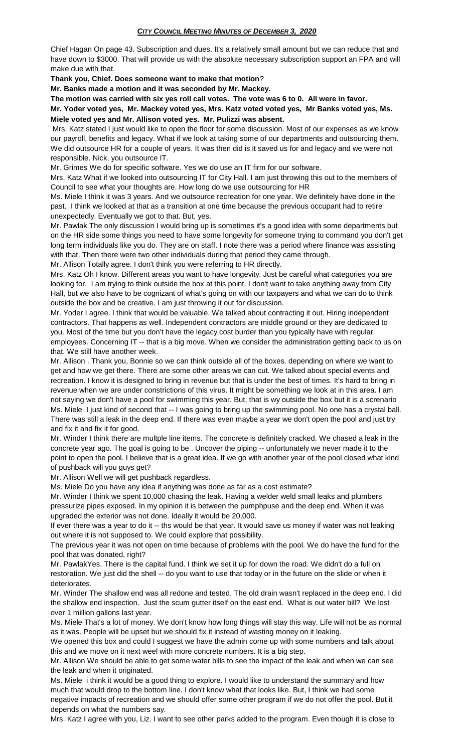Chief Hagan On page 43. Subscription and dues. It's a relatively small amount but we can reduce that and have down to \$3000. That will provide us with the absolute necessary subscription support an FPA and will make due with that.

**Thank you, Chief. Does someone want to make that motion**?

**Mr. Banks made a motion and it was seconded by Mr. Mackey.**

**The motion was carried with six yes roll call votes. The vote was 6 to 0. All were in favor.**

**Mr. Yoder voted yes, Mr. Mackey voted yes, Mrs. Katz voted voted yes, Mr Banks voted yes, Ms. Miele voted yes and Mr. Allison voted yes. Mr. Pulizzi was absent.**

Mrs. Katz stated I just would like to open the floor for some discussion. Most of our expenses as we know our payroll, benefits and legacy. What if we look at taking some of our departments and outsourcing them. We did outsource HR for a couple of years. It was then did is it saved us for and legacy and we were not responsible. Nick, you outsource IT.

Mr. Grimes We do for specific software. Yes we do use an IT firm for our software.

Mrs. Katz What if we looked into outsourcing IT for City Hall. I am just throwing this out to the members of Council to see what your thoughts are. How long do we use outsourcing for HR

Ms. Miele I think it was 3 years. And we outsource recreation for one year. We definitely have done in the past. I think we looked at that as a transition at one time because the previous occupant had to retire unexpectedly. Eventually we got to that. But, yes.

Mr. Pawlak The only discussion I would bring up is sometimes it's a good idea with some departments but on the HR side some things you need to have some longevity for someone trying to command you don't get long term individuals like you do. They are on staff. I note there was a period where finance was assisting with that. Then there were two other individuals during that period they came through.

Mr. Allison Totally agree. I don't think you were referring to HR directly.

Mrs. Katz Oh I know. Different areas you want to have longevity. Just be careful what categories you are looking for. I am trying to think outside the box at this point. I don't want to take anything away from City Hall, but we also have to be cognizant of what's going on with our taxpayers and what we can do to think outside the box and be creative. I am just throwing it out for discussion.

Mr. Yoder I agree. I think that would be valuable. We talked about contracting it out. Hiring independent contractors. That happens as well. Independent contractors are middle ground or they are dedicated to you. Most of the time but you don't have the legacy cost burder than you typically have with regular employees. Concerning IT -- that is a big move. When we consider the administration getting back to us on that. We still have another week.

Mr. Allison . Thank you, Bonnie so we can think outside all of the boxes. depending on where we want to get and how we get there. There are some other areas we can cut. We talked about special events and recreation. I know it is designed to bring in revenue but that is under the best of times. It's hard to bring in revenue when we are under constrictions of this virus. It might be something we look at in this area. I am not saying we don't have a pool for swimming this year. But, that is wy outside the box but it is a screnario Ms. Miele I just kind of second that -- I was going to bring up the swimming pool. No one has a crystal ball. There was still a leak in the deep end. If there was even maybe a year we don't open the pool and just try and fix it and fix it for good.

Mr. Winder I think there are multple line items. The concrete is definitely cracked. We chased a leak in the concrete year ago. The goal is going to be . Uncover the piping -- unfortunately we never made it to the point to open the pool. I believe that is a great idea. If we go with another year of the pool closed what kind of pushback will you guys get?

Mr. Allison Well we will get pushback regardless.

Ms. Miele Do you have any idea if anything was done as far as a cost estimate?

Mr. Winder I think we spent 10,000 chasing the leak. Having a welder weld small leaks and plumbers pressurize pipes exposed. In my opinion it is between the pumphpuse and the deep end. When it was upgraded the exterior was not done. Ideally it would be 20,000.

If ever there was a year to do it -- ths would be that year. It would save us money if water was not leaking out where it is not supposed to. We could explore that possibility.

The previous year it was not open on time because of problems with the pool. We do have the fund for the pool that was donated, right?

Mr. PawlakYes. There is the capital fund. I think we set it up for down the road. We didn't do a full on restoration. We just did the shell -- do you want to use that today or in the future on the slide or when it deteriorates.

Mr. Winder The shallow end was all redone and tested. The old drain wasn't replaced in the deep end. I did the shallow end inspection. Just the scum gutter itself on the east end. What is out water bill? We lost over 1 million gallons last year.

Ms. Miele That's a lot of money. We don't know how long things will stay this way. Life will not be as normal as it was. People will be upset but we should fix it instead of wasting money on it leaking.

We opened this box and could I suggest we have the admin come up with some numbers and talk about this and we move on it next weel with more concrete numbers. It is a big step.

Mr. Allison We should be able to get some water bills to see the impact of the leak and when we can see the leak and when it originated.

Ms. Miele i think it would be a good thing to explore. I would like to understand the summary and how much that would drop to the bottom line. I don't know what that looks like. But, I think we had some negative impacts of recreation and we should offer some other program if we do not offer the pool. But it depends on what the numbers say.

Mrs. Katz I agree with you, Liz. I want to see other parks added to the program. Even though it is close to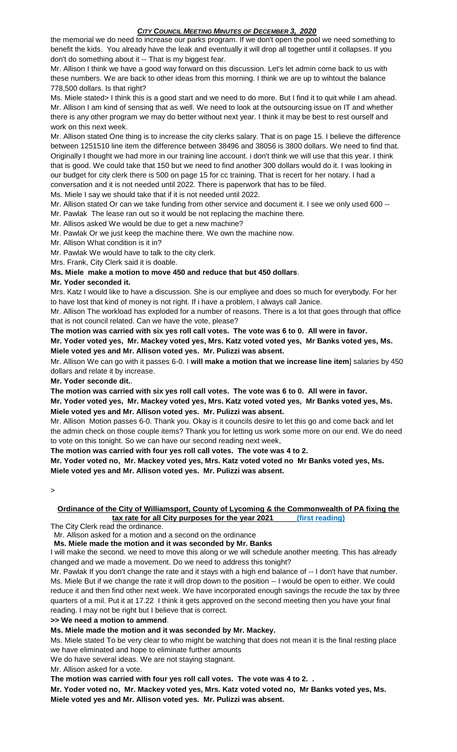# *CITY COUNCIL MEETING MINUTES OF DECEMBER 3, 2020*

the memorial we do need to increase our parks program. If we don't open the pool we need something to benefit the kids. You already have the leak and eventually it will drop all together until it collapses. If you don't do something about it -- That is my biggest fear.

Mr. Allison I think we have a good way forward on this discussion. Let's let admin come back to us with these numbers. We are back to other ideas from this morning. I think we are up to wihtout the balance 778,500 dollars. Is that right?

Ms. Miele stated> I think this is a good start and we need to do more. But I find it to quit while I am ahead. Mr. Allison I am kind of sensing that as well. We need to look at the outsourcing issue on IT and whether there is any other program we may do better without next year. I think it may be best to rest ourself and work on this next week.

Mr. Allison stated One thing is to increase the city clerks salary. That is on page 15. I believe the difference between 1251510 line item the difference between 38496 and 38056 is 3800 dollars. We need to find that. Originally I thought we had more in our training line account. i don't think we will use that this year. I think that is good. We could take that 150 but we need to find another 300 dollars would do it. I was looking in our budget for city clerk there is 500 on page 15 for cc training. That is recert for her notary. I had a conversation and it is not needed until 2022. There is paperwork that has to be filed.

Ms. Miele I say we should take that if it is not needed until 2022.

Mr. Allison stated Or can we take funding from other service and document it. I see we only used 600 -- Mr. Pawlak The lease ran out so it would be not replacing the machine there.

Mr. Allisos asked We would be due to get a new machine?

Mr. Pawlak Or we just keep the machine there. We own the machine now.

Mr. Allison What condition is it in?

Mr. Pawlak We would have to talk to the city clerk.

Mrs. Frank, City Clerk said it is doable.

**Ms. Miele make a motion to move 450 and reduce that but 450 dollars**.

### **Mr. Yoder seconded it.**

Mrs. Katz I would like to have a discussion. She is our empliyee and does so much for everybody. For her to have lost that kind of money is not right. If i have a problem, I always call Janice.

Mr. Allison The workload has exploded for a number of reasons. There is a lot that goes through that office that is not council related. Can we have the vote, please?

**The motion was carried with six yes roll call votes. The vote was 6 to 0. All were in favor. Mr. Yoder voted yes, Mr. Mackey voted yes, Mrs. Katz voted voted yes, Mr Banks voted yes, Ms. Miele voted yes and Mr. Allison voted yes. Mr. Pulizzi was absent.**

Mr. Allison We can go with it passes 6-0. I **will make a motion that we increase line item**] salaries by 450 dollars and relate it by increase.

**Mr. Yoder seconde dit.**.

**The motion was carried with six yes roll call votes. The vote was 6 to 0. All were in favor.**

**Mr. Yoder voted yes, Mr. Mackey voted yes, Mrs. Katz voted voted yes, Mr Banks voted yes, Ms. Miele voted yes and Mr. Allison voted yes. Mr. Pulizzi was absent.**

Mr. Allison Motion passes 6-0. Thank you. Okay is it councils desire to let this go and come back and let the admin check on those couple items? Thank you for letting us work some more on our end. We do need to vote on this tonight. So we can have our second reading next week,

**The motion was carried with four yes roll call votes. The vote was 4 to 2.** 

**Mr. Yoder voted no, Mr. Mackey voted yes, Mrs. Katz voted voted no Mr Banks voted yes, Ms. Miele voted yes and Mr. Allison voted yes. Mr. Pulizzi was absent.**

>

# **Ordinance of the City of Williamsport, County of Lycoming & the Commonwealth of PA fixing the tax rate for all City purposes for the year 2021 (first reading)**

The City Clerk read the ordinance.

Mr. Allison asked for a motion and a second on the ordinance

**Ms. Miele made the motion and it was seconded by Mr. Banks**

I will make the second. we need to move this along or we will schedule another meeting. This has already changed and we made a movement. Do we need to address this tonight?

Mr. Pawlak If you don't change the rate and it stays with a high end balance of -- I don't have that number. Ms. Miele But if we change the rate it will drop down to the position -- I would be open to either. We could reduce it and then find other next week. We have incorporated enough savings the recude the tax by three quarters of a mil. Put it at 17.22 I think it gets approved on the second meeting then you have your final reading. I may not be right but I believe that is correct.

**>> We need a motion to ammend**.

### **Ms. Miele made the motion and it was seconded by Mr. Mackey.**

Ms. Miele stated To be very clear to who might be watching that does not mean it is the final resting place we have eliminated and hope to eliminate further amounts

We do have several ideas. We are not staying stagnant.

Mr. Allison asked for a vote.

**The motion was carried with four yes roll call votes. The vote was 4 to 2. .**

**Mr. Yoder voted no, Mr. Mackey voted yes, Mrs. Katz voted voted no, Mr Banks voted yes, Ms. Miele voted yes and Mr. Allison voted yes. Mr. Pulizzi was absent.**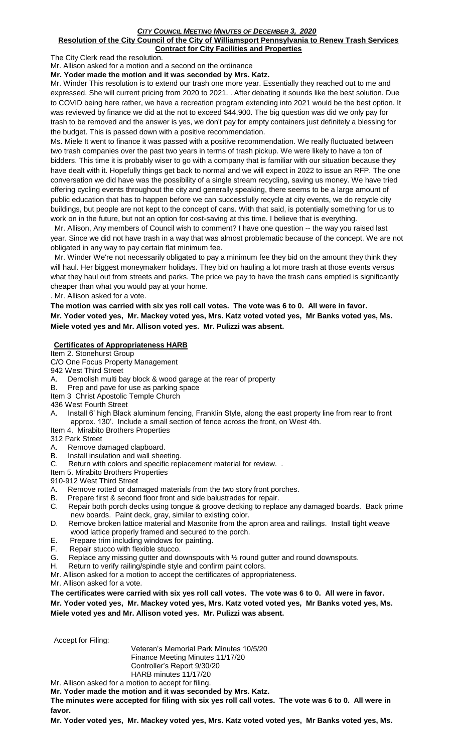#### *CITY COUNCIL MEETING MINUTES OF DECEMBER 3, 2020* **Resolution of the City Council of the City of Williamsport Pennsylvania to Renew Trash Services Contract for City Facilities and Properties**

The City Clerk read the resolution.

Mr. Allison asked for a motion and a second on the ordinance

**Mr. Yoder made the motion and it was seconded by Mrs. Katz.**

Mr. Winder This resolution is to extend our trash one more year. Essentially they reached out to me and expressed. She will current pricing from 2020 to 2021. . After debating it sounds like the best solution. Due to COVID being here rather, we have a recreation program extending into 2021 would be the best option. It was reviewed by finance we did at the not to exceed \$44,900. The big question was did we only pay for trash to be removed and the answer is yes, we don't pay for empty containers just definitely a blessing for the budget. This is passed down with a positive recommendation.

Ms. Miele It went to finance it was passed with a positive recommendation. We really fluctuated between two trash companies over the past two years in terms of trash pickup. We were likely to have a ton of bidders. This time it is probably wiser to go with a company that is familiar with our situation because they have dealt with it. Hopefully things get back to normal and we will expect in 2022 to issue an RFP. The one conversation we did have was the possibility of a single stream recycling, saving us money. We have tried offering cycling events throughout the city and generally speaking, there seems to be a large amount of public education that has to happen before we can successfully recycle at city events, we do recycle city buildings, but people are not kept to the concept of cans. With that said, is potentially something for us to work on in the future, but not an option for cost-saving at this time. I believe that is everything.

 Mr. Allison, Any members of Council wish to comment? I have one question -- the way you raised last year. Since we did not have trash in a way that was almost problematic because of the concept. We are not obligated in any way to pay certain flat minimum fee.

 Mr. Winder We're not necessarily obligated to pay a minimum fee they bid on the amount they think they will haul. Her biggest moneymakerr holidays. They bid on hauling a lot more trash at those events versus what they haul out from streets and parks. The price we pay to have the trash cans emptied is significantly cheaper than what you would pay at your home.

. Mr. Allison asked for a vote.

**The motion was carried with six yes roll call votes. The vote was 6 to 0. All were in favor. Mr. Yoder voted yes, Mr. Mackey voted yes, Mrs. Katz voted voted yes, Mr Banks voted yes, Ms. Miele voted yes and Mr. Allison voted yes. Mr. Pulizzi was absent.**

### **Certificates of Appropriateness HARB**

Item 2. Stonehurst Group

- C/O One Focus Property Management
- 942 West Third Street
- A. Demolish multi bay block & wood garage at the rear of property
- B. Prep and pave for use as parking space
- Item 3 Christ Apostolic Temple Church

436 West Fourth Street

- A. Install 6' high Black aluminum fencing, Franklin Style, along the east property line from rear to front approx. 130'. Include a small section of fence across the front, on West 4th.
- Item 4. Mirabito Brothers Properties

312 Park Street

- A. Remove damaged clapboard.
- B. Install insulation and wall sheeting.
- C. Return with colors and specific replacement material for review. .

Item 5. Mirabito Brothers Properties

910-912 West Third Street

- A. Remove rotted or damaged materials from the two story front porches.
- B. Prepare first & second floor front and side balustrades for repair.
- C. Repair both porch decks using tongue & groove decking to replace any damaged boards. Back prime new boards. Paint deck, gray, similar to existing color.
- D. Remove broken lattice material and Masonite from the apron area and railings. Install tight weave wood lattice properly framed and secured to the porch.
- E. Prepare trim including windows for painting.
- F. Repair stucco with flexible stucco.
- G. Replace any missing gutter and downspouts with  $\frac{1}{2}$  round gutter and round downspouts.
- H. Return to verify railing/spindle style and confirm paint colors.
- Mr. Allison asked for a motion to accept the certificates of appropriateness.

Mr. Allison asked for a vote.

**The certificates were carried with six yes roll call votes. The vote was 6 to 0. All were in favor. Mr. Yoder voted yes, Mr. Mackey voted yes, Mrs. Katz voted voted yes, Mr Banks voted yes, Ms.** 

**Miele voted yes and Mr. Allison voted yes. Mr. Pulizzi was absent.**

Accept for Filing:

Veteran's Memorial Park Minutes 10/5/20 Finance Meeting Minutes 11/17/20 Controller's Report 9/30/20 HARB minutes 11/17/20

Mr. Allison asked for a motion to accept for filing.

**Mr. Yoder made the motion and it was seconded by Mrs. Katz.**

**The minutes were accepted for filing with six yes roll call votes. The vote was 6 to 0. All were in favor.**

**Mr. Yoder voted yes, Mr. Mackey voted yes, Mrs. Katz voted voted yes, Mr Banks voted yes, Ms.**